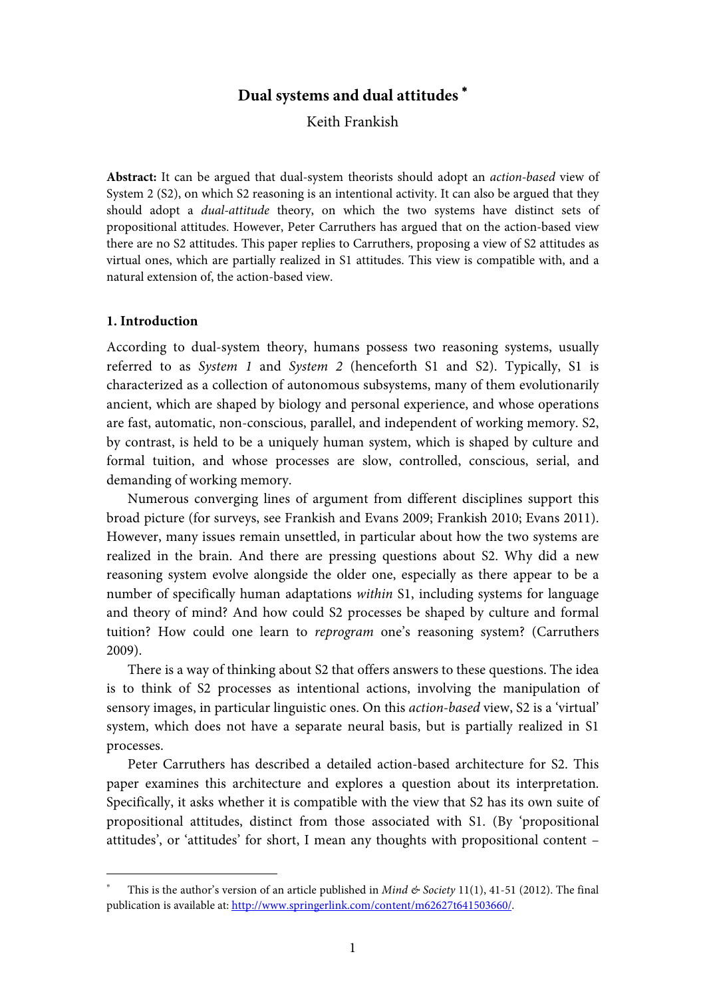# **Dual systems and dual attitudes** <sup>∗</sup>

# Keith Frankish

**Abstract:** It can be argued that dual-system theorists should adopt an action-based view of System 2 (S2), on which S2 reasoning is an intentional activity. It can also be argued that they should adopt a dual-attitude theory, on which the two systems have distinct sets of propositional attitudes. However, Peter Carruthers has argued that on the action-based view there are no S2 attitudes. This paper replies to Carruthers, proposing a view of S2 attitudes as virtual ones, which are partially realized in S1 attitudes. This view is compatible with, and a natural extension of, the action-based view.

### **1. Introduction**

-

According to dual-system theory, humans possess two reasoning systems, usually referred to as System 1 and System 2 (henceforth S1 and S2). Typically, S1 is characterized as a collection of autonomous subsystems, many of them evolutionarily ancient, which are shaped by biology and personal experience, and whose operations are fast, automatic, non-conscious, parallel, and independent of working memory. S2, by contrast, is held to be a uniquely human system, which is shaped by culture and formal tuition, and whose processes are slow, controlled, conscious, serial, and demanding of working memory.

 Numerous converging lines of argument from different disciplines support this broad picture (for surveys, see Frankish and Evans 2009; Frankish 2010; Evans 2011). However, many issues remain unsettled, in particular about how the two systems are realized in the brain. And there are pressing questions about S2. Why did a new reasoning system evolve alongside the older one, especially as there appear to be a number of specifically human adaptations within S1, including systems for language and theory of mind? And how could S2 processes be shaped by culture and formal tuition? How could one learn to reprogram one's reasoning system? (Carruthers 2009).

 There is a way of thinking about S2 that offers answers to these questions. The idea is to think of S2 processes as intentional actions, involving the manipulation of sensory images, in particular linguistic ones. On this action-based view, S2 is a 'virtual' system, which does not have a separate neural basis, but is partially realized in S1 processes.

 Peter Carruthers has described a detailed action-based architecture for S2. This paper examines this architecture and explores a question about its interpretation. Specifically, it asks whether it is compatible with the view that S2 has its own suite of propositional attitudes, distinct from those associated with S1. (By 'propositional attitudes', or 'attitudes' for short, I mean any thoughts with propositional content –

<sup>∗</sup> This is the author's version of an article published in Mind & Society 11(1), 41-51 (2012). The final publication is available at: http://www.springerlink.com/content/m62627t641503660/.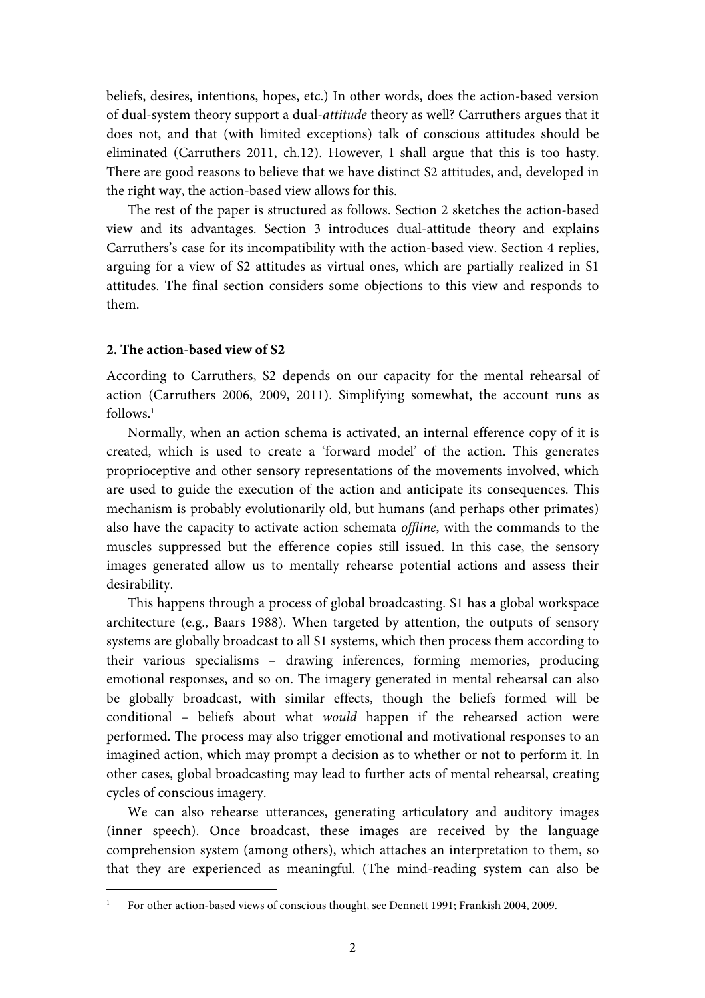beliefs, desires, intentions, hopes, etc.) In other words, does the action-based version of dual-system theory support a dual-attitude theory as well? Carruthers argues that it does not, and that (with limited exceptions) talk of conscious attitudes should be eliminated (Carruthers 2011, ch.12). However, I shall argue that this is too hasty. There are good reasons to believe that we have distinct S2 attitudes, and, developed in the right way, the action-based view allows for this.

 The rest of the paper is structured as follows. Section 2 sketches the action-based view and its advantages. Section 3 introduces dual-attitude theory and explains Carruthers's case for its incompatibility with the action-based view. Section 4 replies, arguing for a view of S2 attitudes as virtual ones, which are partially realized in S1 attitudes. The final section considers some objections to this view and responds to them.

# **2. The action-based view of S2**

-

According to Carruthers, S2 depends on our capacity for the mental rehearsal of action (Carruthers 2006, 2009, 2011). Simplifying somewhat, the account runs as follows.<sup>1</sup>

 Normally, when an action schema is activated, an internal efference copy of it is created, which is used to create a 'forward model' of the action. This generates proprioceptive and other sensory representations of the movements involved, which are used to guide the execution of the action and anticipate its consequences. This mechanism is probably evolutionarily old, but humans (and perhaps other primates) also have the capacity to activate action schemata offline, with the commands to the muscles suppressed but the efference copies still issued. In this case, the sensory images generated allow us to mentally rehearse potential actions and assess their desirability.

 This happens through a process of global broadcasting. S1 has a global workspace architecture (e.g., Baars 1988). When targeted by attention, the outputs of sensory systems are globally broadcast to all S1 systems, which then process them according to their various specialisms – drawing inferences, forming memories, producing emotional responses, and so on. The imagery generated in mental rehearsal can also be globally broadcast, with similar effects, though the beliefs formed will be conditional – beliefs about what would happen if the rehearsed action were performed. The process may also trigger emotional and motivational responses to an imagined action, which may prompt a decision as to whether or not to perform it. In other cases, global broadcasting may lead to further acts of mental rehearsal, creating cycles of conscious imagery.

 We can also rehearse utterances, generating articulatory and auditory images (inner speech). Once broadcast, these images are received by the language comprehension system (among others), which attaches an interpretation to them, so that they are experienced as meaningful. (The mind-reading system can also be

<sup>1</sup> For other action-based views of conscious thought, see Dennett 1991; Frankish 2004, 2009.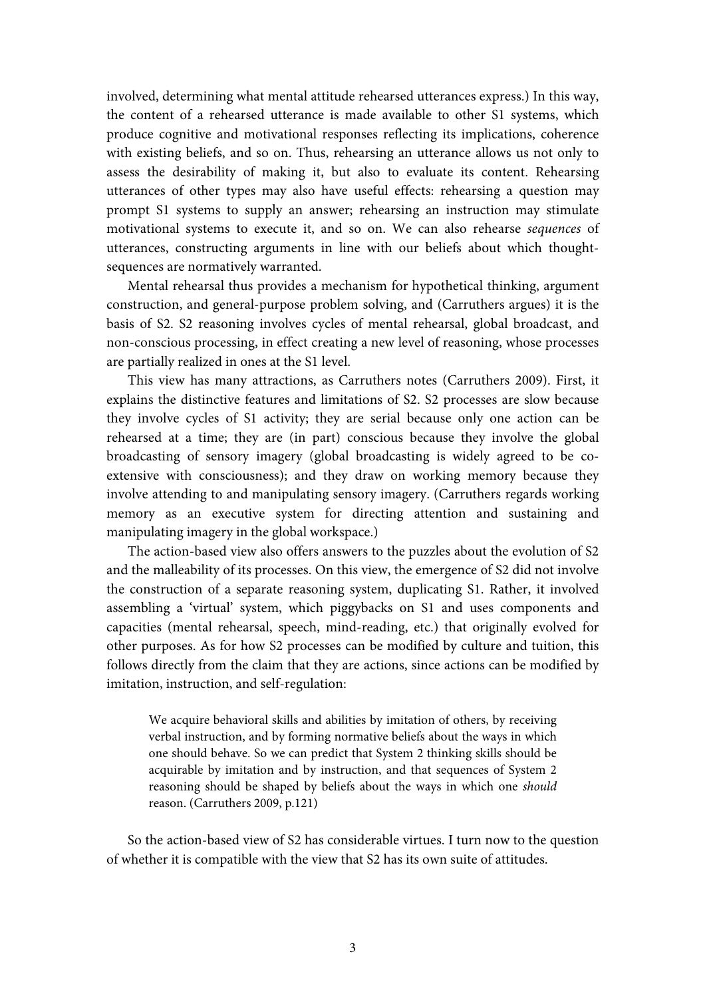involved, determining what mental attitude rehearsed utterances express.) In this way, the content of a rehearsed utterance is made available to other S1 systems, which produce cognitive and motivational responses reflecting its implications, coherence with existing beliefs, and so on. Thus, rehearsing an utterance allows us not only to assess the desirability of making it, but also to evaluate its content. Rehearsing utterances of other types may also have useful effects: rehearsing a question may prompt S1 systems to supply an answer; rehearsing an instruction may stimulate motivational systems to execute it, and so on. We can also rehearse sequences of utterances, constructing arguments in line with our beliefs about which thoughtsequences are normatively warranted.

 Mental rehearsal thus provides a mechanism for hypothetical thinking, argument construction, and general-purpose problem solving, and (Carruthers argues) it is the basis of S2. S2 reasoning involves cycles of mental rehearsal, global broadcast, and non-conscious processing, in effect creating a new level of reasoning, whose processes are partially realized in ones at the S1 level.

 This view has many attractions, as Carruthers notes (Carruthers 2009). First, it explains the distinctive features and limitations of S2. S2 processes are slow because they involve cycles of S1 activity; they are serial because only one action can be rehearsed at a time; they are (in part) conscious because they involve the global broadcasting of sensory imagery (global broadcasting is widely agreed to be coextensive with consciousness); and they draw on working memory because they involve attending to and manipulating sensory imagery. (Carruthers regards working memory as an executive system for directing attention and sustaining and manipulating imagery in the global workspace.)

 The action-based view also offers answers to the puzzles about the evolution of S2 and the malleability of its processes. On this view, the emergence of S2 did not involve the construction of a separate reasoning system, duplicating S1. Rather, it involved assembling a 'virtual' system, which piggybacks on S1 and uses components and capacities (mental rehearsal, speech, mind-reading, etc.) that originally evolved for other purposes. As for how S2 processes can be modified by culture and tuition, this follows directly from the claim that they are actions, since actions can be modified by imitation, instruction, and self-regulation:

We acquire behavioral skills and abilities by imitation of others, by receiving verbal instruction, and by forming normative beliefs about the ways in which one should behave. So we can predict that System 2 thinking skills should be acquirable by imitation and by instruction, and that sequences of System 2 reasoning should be shaped by beliefs about the ways in which one should reason. (Carruthers 2009, p.121)

 So the action-based view of S2 has considerable virtues. I turn now to the question of whether it is compatible with the view that S2 has its own suite of attitudes.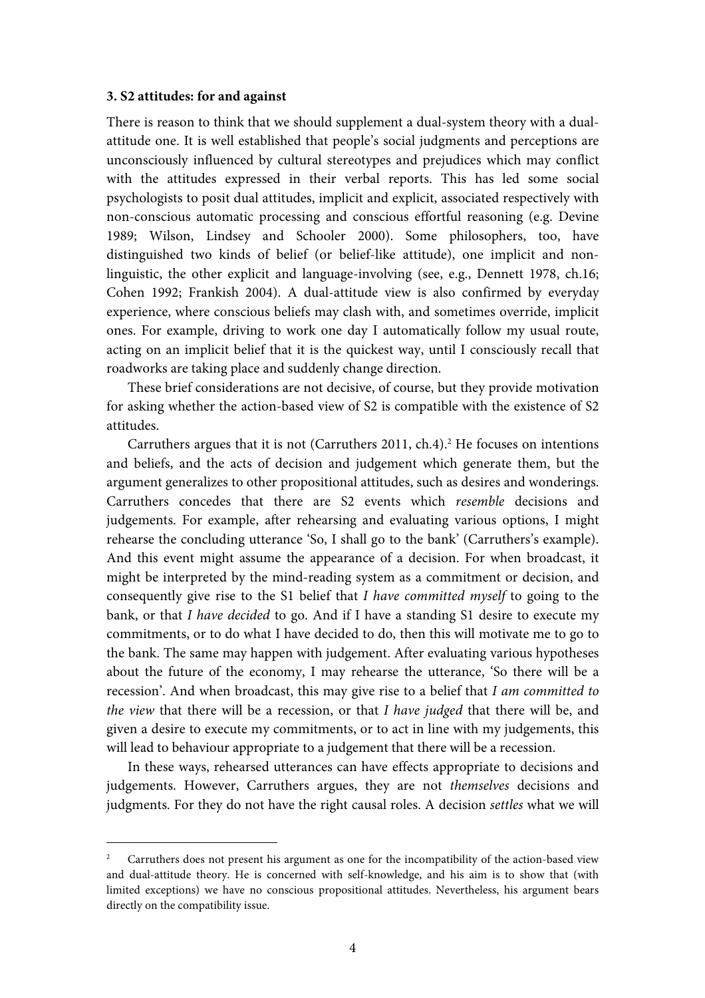#### **3. S2 attitudes: for and against**

 $\overline{a}$ 

There is reason to think that we should supplement a dual-system theory with a dualattitude one. It is well established that people's social judgments and perceptions are unconsciously influenced by cultural stereotypes and prejudices which may conflict with the attitudes expressed in their verbal reports. This has led some social psychologists to posit dual attitudes, implicit and explicit, associated respectively with non-conscious automatic processing and conscious effortful reasoning (e.g. Devine 1989; Wilson, Lindsey and Schooler 2000). Some philosophers, too, have distinguished two kinds of belief (or belief-like attitude), one implicit and nonlinguistic, the other explicit and language-involving (see, e.g., Dennett 1978, ch.16; Cohen 1992; Frankish 2004). A dual-attitude view is also confirmed by everyday experience, where conscious beliefs may clash with, and sometimes override, implicit ones. For example, driving to work one day I automatically follow my usual route, acting on an implicit belief that it is the quickest way, until I consciously recall that roadworks are taking place and suddenly change direction.

 These brief considerations are not decisive, of course, but they provide motivation for asking whether the action-based view of S2 is compatible with the existence of S2 attitudes.

Carruthers argues that it is not (Carruthers 2011,  $ch.4$ ).<sup>2</sup> He focuses on intentions and beliefs, and the acts of decision and judgement which generate them, but the argument generalizes to other propositional attitudes, such as desires and wonderings. Carruthers concedes that there are S2 events which resemble decisions and judgements. For example, after rehearsing and evaluating various options, I might rehearse the concluding utterance 'So, I shall go to the bank' (Carruthers's example). And this event might assume the appearance of a decision. For when broadcast, it might be interpreted by the mind-reading system as a commitment or decision, and consequently give rise to the S1 belief that I have committed myself to going to the bank, or that I have decided to go. And if I have a standing S1 desire to execute my commitments, or to do what I have decided to do, then this will motivate me to go to the bank. The same may happen with judgement. After evaluating various hypotheses about the future of the economy, I may rehearse the utterance, 'So there will be a recession'. And when broadcast, this may give rise to a belief that I am committed to the view that there will be a recession, or that I have judged that there will be, and given a desire to execute my commitments, or to act in line with my judgements, this will lead to behaviour appropriate to a judgement that there will be a recession.

 In these ways, rehearsed utterances can have effects appropriate to decisions and judgements. However, Carruthers argues, they are not themselves decisions and judgments. For they do not have the right causal roles. A decision settles what we will

<sup>2</sup> Carruthers does not present his argument as one for the incompatibility of the action-based view and dual-attitude theory. He is concerned with self-knowledge, and his aim is to show that (with limited exceptions) we have no conscious propositional attitudes. Nevertheless, his argument bears directly on the compatibility issue.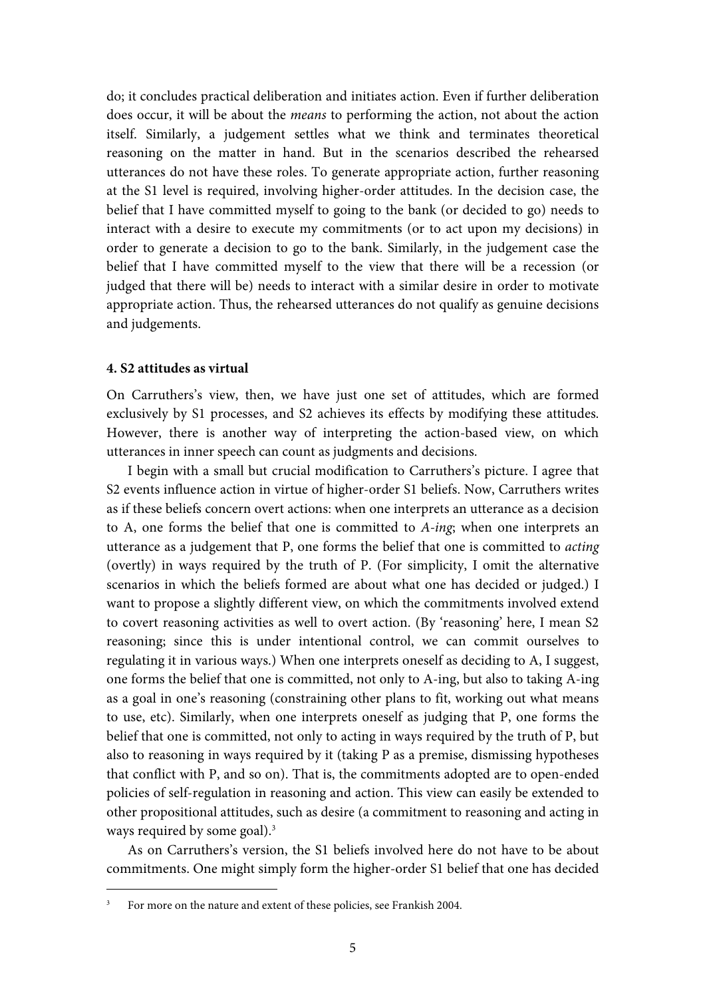do; it concludes practical deliberation and initiates action. Even if further deliberation does occur, it will be about the means to performing the action, not about the action itself. Similarly, a judgement settles what we think and terminates theoretical reasoning on the matter in hand. But in the scenarios described the rehearsed utterances do not have these roles. To generate appropriate action, further reasoning at the S1 level is required, involving higher-order attitudes. In the decision case, the belief that I have committed myself to going to the bank (or decided to go) needs to interact with a desire to execute my commitments (or to act upon my decisions) in order to generate a decision to go to the bank. Similarly, in the judgement case the belief that I have committed myself to the view that there will be a recession (or judged that there will be) needs to interact with a similar desire in order to motivate appropriate action. Thus, the rehearsed utterances do not qualify as genuine decisions and judgements.

### **4. S2 attitudes as virtual**

-

On Carruthers's view, then, we have just one set of attitudes, which are formed exclusively by S1 processes, and S2 achieves its effects by modifying these attitudes. However, there is another way of interpreting the action-based view, on which utterances in inner speech can count as judgments and decisions.

 I begin with a small but crucial modification to Carruthers's picture. I agree that S2 events influence action in virtue of higher-order S1 beliefs. Now, Carruthers writes as if these beliefs concern overt actions: when one interprets an utterance as a decision to A, one forms the belief that one is committed to  $A$ -ing; when one interprets an utterance as a judgement that P, one forms the belief that one is committed to acting (overtly) in ways required by the truth of P. (For simplicity, I omit the alternative scenarios in which the beliefs formed are about what one has decided or judged.) I want to propose a slightly different view, on which the commitments involved extend to covert reasoning activities as well to overt action. (By 'reasoning' here, I mean S2 reasoning; since this is under intentional control, we can commit ourselves to regulating it in various ways.) When one interprets oneself as deciding to A, I suggest, one forms the belief that one is committed, not only to A-ing, but also to taking A-ing as a goal in one's reasoning (constraining other plans to fit, working out what means to use, etc). Similarly, when one interprets oneself as judging that P, one forms the belief that one is committed, not only to acting in ways required by the truth of P, but also to reasoning in ways required by it (taking P as a premise, dismissing hypotheses that conflict with P, and so on). That is, the commitments adopted are to open-ended policies of self-regulation in reasoning and action. This view can easily be extended to other propositional attitudes, such as desire (a commitment to reasoning and acting in ways required by some goal).<sup>3</sup>

 As on Carruthers's version, the S1 beliefs involved here do not have to be about commitments. One might simply form the higher-order S1 belief that one has decided

<sup>3</sup> For more on the nature and extent of these policies, see Frankish 2004.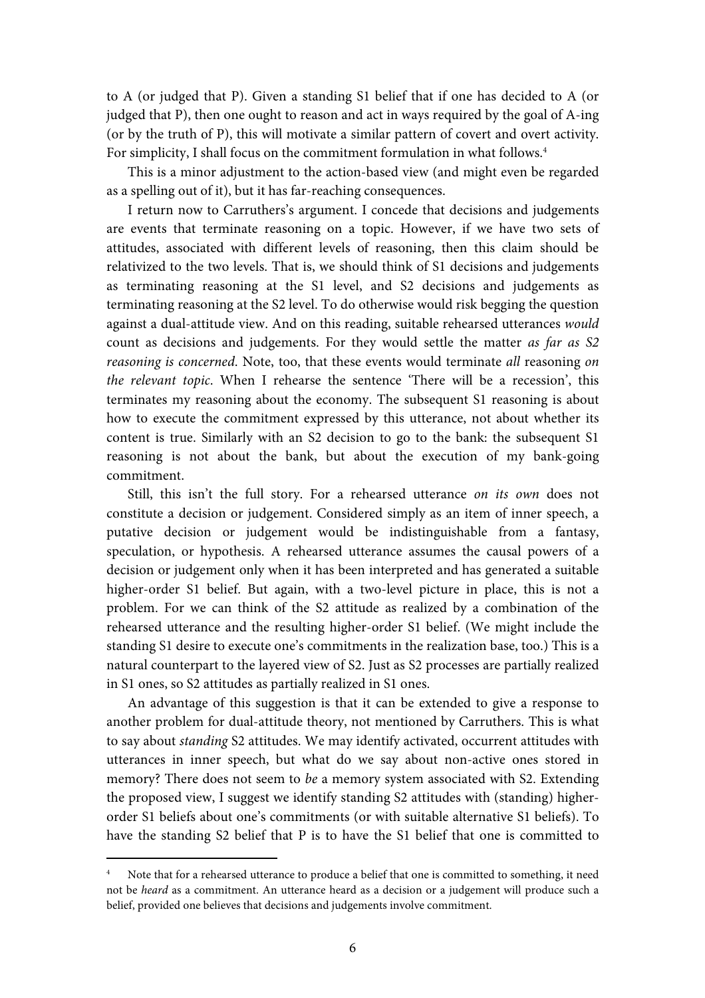to A (or judged that P). Given a standing S1 belief that if one has decided to A (or judged that P), then one ought to reason and act in ways required by the goal of A-ing (or by the truth of P), this will motivate a similar pattern of covert and overt activity. For simplicity, I shall focus on the commitment formulation in what follows.<sup>4</sup>

 This is a minor adjustment to the action-based view (and might even be regarded as a spelling out of it), but it has far-reaching consequences.

 I return now to Carruthers's argument. I concede that decisions and judgements are events that terminate reasoning on a topic. However, if we have two sets of attitudes, associated with different levels of reasoning, then this claim should be relativized to the two levels. That is, we should think of S1 decisions and judgements as terminating reasoning at the S1 level, and S2 decisions and judgements as terminating reasoning at the S2 level. To do otherwise would risk begging the question against a dual-attitude view. And on this reading, suitable rehearsed utterances would count as decisions and judgements. For they would settle the matter as far as S2 reasoning is concerned. Note, too, that these events would terminate all reasoning on the relevant topic. When I rehearse the sentence 'There will be a recession', this terminates my reasoning about the economy. The subsequent S1 reasoning is about how to execute the commitment expressed by this utterance, not about whether its content is true. Similarly with an S2 decision to go to the bank: the subsequent S1 reasoning is not about the bank, but about the execution of my bank-going commitment.

 Still, this isn't the full story. For a rehearsed utterance on its own does not constitute a decision or judgement. Considered simply as an item of inner speech, a putative decision or judgement would be indistinguishable from a fantasy, speculation, or hypothesis. A rehearsed utterance assumes the causal powers of a decision or judgement only when it has been interpreted and has generated a suitable higher-order S1 belief. But again, with a two-level picture in place, this is not a problem. For we can think of the S2 attitude as realized by a combination of the rehearsed utterance and the resulting higher-order S1 belief. (We might include the standing S1 desire to execute one's commitments in the realization base, too.) This is a natural counterpart to the layered view of S2. Just as S2 processes are partially realized in S1 ones, so S2 attitudes as partially realized in S1 ones.

 An advantage of this suggestion is that it can be extended to give a response to another problem for dual-attitude theory, not mentioned by Carruthers. This is what to say about standing S2 attitudes. We may identify activated, occurrent attitudes with utterances in inner speech, but what do we say about non-active ones stored in memory? There does not seem to be a memory system associated with S2. Extending the proposed view, I suggest we identify standing S2 attitudes with (standing) higherorder S1 beliefs about one's commitments (or with suitable alternative S1 beliefs). To have the standing S2 belief that P is to have the S1 belief that one is committed to

-

<sup>4</sup> Note that for a rehearsed utterance to produce a belief that one is committed to something, it need not be heard as a commitment. An utterance heard as a decision or a judgement will produce such a belief, provided one believes that decisions and judgements involve commitment.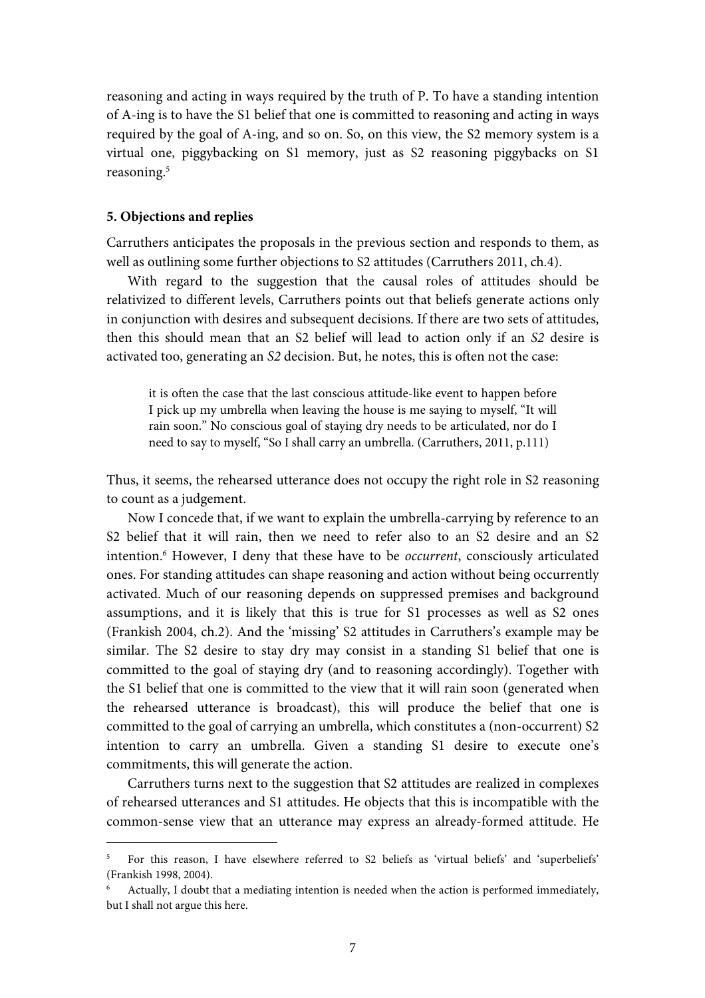reasoning and acting in ways required by the truth of P. To have a standing intention of A-ing is to have the S1 belief that one is committed to reasoning and acting in ways required by the goal of A-ing, and so on. So, on this view, the S2 memory system is a virtual one, piggybacking on S1 memory, just as S2 reasoning piggybacks on S1 reasoning.<sup>5</sup>

### **5. Objections and replies**

 $\overline{a}$ 

Carruthers anticipates the proposals in the previous section and responds to them, as well as outlining some further objections to S2 attitudes (Carruthers 2011, ch.4).

 With regard to the suggestion that the causal roles of attitudes should be relativized to different levels, Carruthers points out that beliefs generate actions only in conjunction with desires and subsequent decisions. If there are two sets of attitudes, then this should mean that an S2 belief will lead to action only if an S2 desire is activated too, generating an S2 decision. But, he notes, this is often not the case:

it is often the case that the last conscious attitude-like event to happen before I pick up my umbrella when leaving the house is me saying to myself, "It will rain soon." No conscious goal of staying dry needs to be articulated, nor do I need to say to myself, "So I shall carry an umbrella. (Carruthers, 2011, p.111)

Thus, it seems, the rehearsed utterance does not occupy the right role in S2 reasoning to count as a judgement.

 Now I concede that, if we want to explain the umbrella-carrying by reference to an S2 belief that it will rain, then we need to refer also to an S2 desire and an S2 intention.<sup>6</sup> However, I deny that these have to be *occurrent*, consciously articulated ones. For standing attitudes can shape reasoning and action without being occurrently activated. Much of our reasoning depends on suppressed premises and background assumptions, and it is likely that this is true for S1 processes as well as S2 ones (Frankish 2004, ch.2). And the 'missing' S2 attitudes in Carruthers's example may be similar. The S2 desire to stay dry may consist in a standing S1 belief that one is committed to the goal of staying dry (and to reasoning accordingly). Together with the S1 belief that one is committed to the view that it will rain soon (generated when the rehearsed utterance is broadcast), this will produce the belief that one is committed to the goal of carrying an umbrella, which constitutes a (non-occurrent) S2 intention to carry an umbrella. Given a standing S1 desire to execute one's commitments, this will generate the action.

 Carruthers turns next to the suggestion that S2 attitudes are realized in complexes of rehearsed utterances and S1 attitudes. He objects that this is incompatible with the common-sense view that an utterance may express an already-formed attitude. He

<sup>5</sup> For this reason, I have elsewhere referred to S2 beliefs as 'virtual beliefs' and 'superbeliefs' (Frankish 1998, 2004).

<sup>6</sup> Actually, I doubt that a mediating intention is needed when the action is performed immediately, but I shall not argue this here.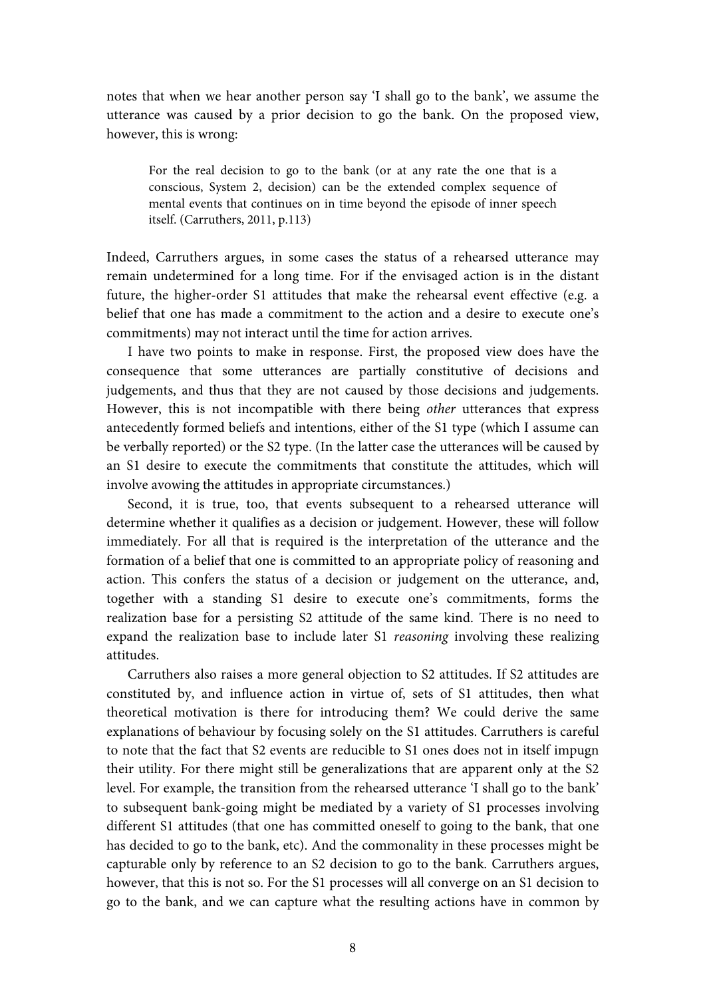notes that when we hear another person say 'I shall go to the bank', we assume the utterance was caused by a prior decision to go the bank. On the proposed view, however, this is wrong:

For the real decision to go to the bank (or at any rate the one that is a conscious, System 2, decision) can be the extended complex sequence of mental events that continues on in time beyond the episode of inner speech itself. (Carruthers, 2011, p.113)

Indeed, Carruthers argues, in some cases the status of a rehearsed utterance may remain undetermined for a long time. For if the envisaged action is in the distant future, the higher-order S1 attitudes that make the rehearsal event effective (e.g. a belief that one has made a commitment to the action and a desire to execute one's commitments) may not interact until the time for action arrives.

 I have two points to make in response. First, the proposed view does have the consequence that some utterances are partially constitutive of decisions and judgements, and thus that they are not caused by those decisions and judgements. However, this is not incompatible with there being other utterances that express antecedently formed beliefs and intentions, either of the S1 type (which I assume can be verbally reported) or the S2 type. (In the latter case the utterances will be caused by an S1 desire to execute the commitments that constitute the attitudes, which will involve avowing the attitudes in appropriate circumstances.)

 Second, it is true, too, that events subsequent to a rehearsed utterance will determine whether it qualifies as a decision or judgement. However, these will follow immediately. For all that is required is the interpretation of the utterance and the formation of a belief that one is committed to an appropriate policy of reasoning and action. This confers the status of a decision or judgement on the utterance, and, together with a standing S1 desire to execute one's commitments, forms the realization base for a persisting S2 attitude of the same kind. There is no need to expand the realization base to include later S1 reasoning involving these realizing attitudes.

 Carruthers also raises a more general objection to S2 attitudes. If S2 attitudes are constituted by, and influence action in virtue of, sets of S1 attitudes, then what theoretical motivation is there for introducing them? We could derive the same explanations of behaviour by focusing solely on the S1 attitudes. Carruthers is careful to note that the fact that S2 events are reducible to S1 ones does not in itself impugn their utility. For there might still be generalizations that are apparent only at the S2 level. For example, the transition from the rehearsed utterance 'I shall go to the bank' to subsequent bank-going might be mediated by a variety of S1 processes involving different S1 attitudes (that one has committed oneself to going to the bank, that one has decided to go to the bank, etc). And the commonality in these processes might be capturable only by reference to an S2 decision to go to the bank. Carruthers argues, however, that this is not so. For the S1 processes will all converge on an S1 decision to go to the bank, and we can capture what the resulting actions have in common by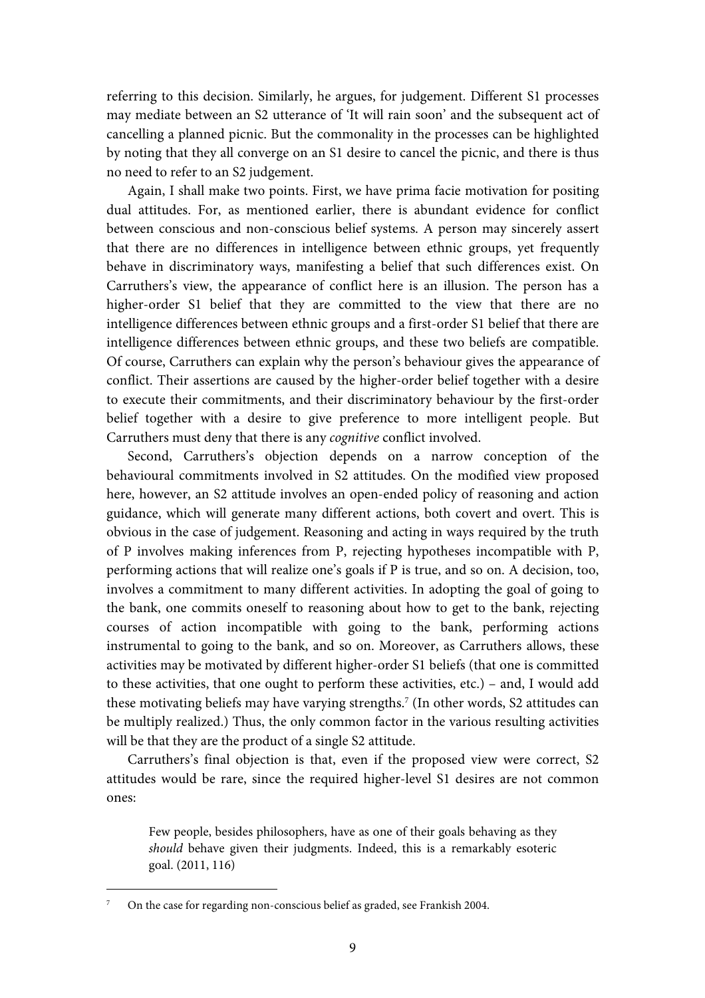referring to this decision. Similarly, he argues, for judgement. Different S1 processes may mediate between an S2 utterance of 'It will rain soon' and the subsequent act of cancelling a planned picnic. But the commonality in the processes can be highlighted by noting that they all converge on an S1 desire to cancel the picnic, and there is thus no need to refer to an S2 judgement.

 Again, I shall make two points. First, we have prima facie motivation for positing dual attitudes. For, as mentioned earlier, there is abundant evidence for conflict between conscious and non-conscious belief systems. A person may sincerely assert that there are no differences in intelligence between ethnic groups, yet frequently behave in discriminatory ways, manifesting a belief that such differences exist. On Carruthers's view, the appearance of conflict here is an illusion. The person has a higher-order S1 belief that they are committed to the view that there are no intelligence differences between ethnic groups and a first-order S1 belief that there are intelligence differences between ethnic groups, and these two beliefs are compatible. Of course, Carruthers can explain why the person's behaviour gives the appearance of conflict. Their assertions are caused by the higher-order belief together with a desire to execute their commitments, and their discriminatory behaviour by the first-order belief together with a desire to give preference to more intelligent people. But Carruthers must deny that there is any cognitive conflict involved.

 Second, Carruthers's objection depends on a narrow conception of the behavioural commitments involved in S2 attitudes. On the modified view proposed here, however, an S2 attitude involves an open-ended policy of reasoning and action guidance, which will generate many different actions, both covert and overt. This is obvious in the case of judgement. Reasoning and acting in ways required by the truth of P involves making inferences from P, rejecting hypotheses incompatible with P, performing actions that will realize one's goals if P is true, and so on. A decision, too, involves a commitment to many different activities. In adopting the goal of going to the bank, one commits oneself to reasoning about how to get to the bank, rejecting courses of action incompatible with going to the bank, performing actions instrumental to going to the bank, and so on. Moreover, as Carruthers allows, these activities may be motivated by different higher-order S1 beliefs (that one is committed to these activities, that one ought to perform these activities, etc.) – and, I would add these motivating beliefs may have varying strengths. 7 (In other words, S2 attitudes can be multiply realized.) Thus, the only common factor in the various resulting activities will be that they are the product of a single S2 attitude.

 Carruthers's final objection is that, even if the proposed view were correct, S2 attitudes would be rare, since the required higher-level S1 desires are not common ones:

Few people, besides philosophers, have as one of their goals behaving as they should behave given their judgments. Indeed, this is a remarkably esoteric goal. (2011, 116)

-

<sup>7</sup> On the case for regarding non-conscious belief as graded, see Frankish 2004.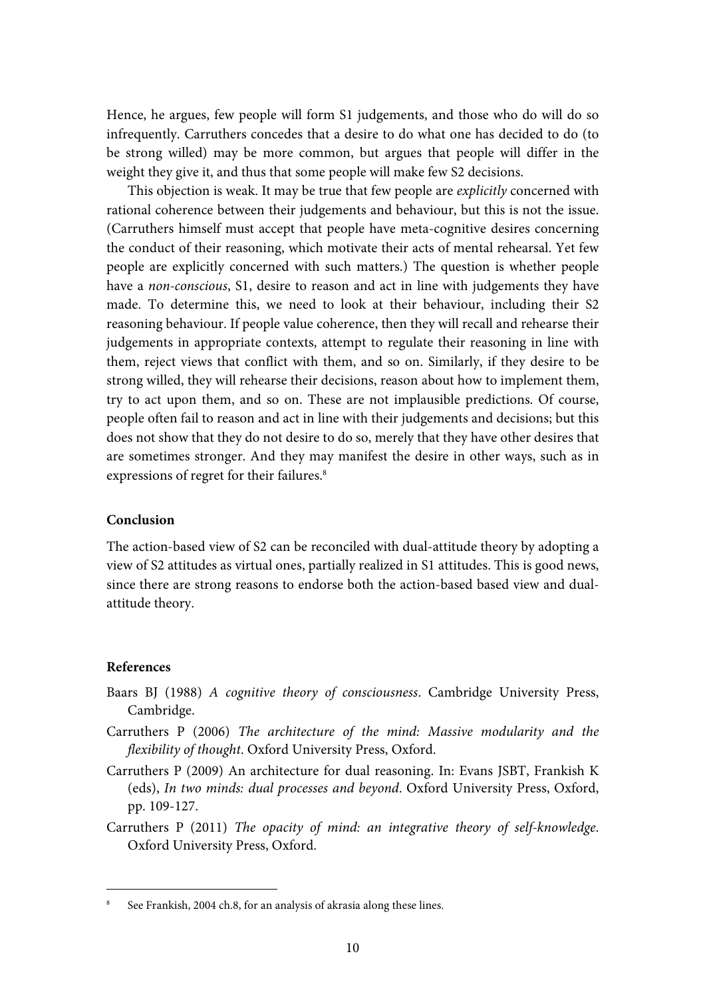Hence, he argues, few people will form S1 judgements, and those who do will do so infrequently. Carruthers concedes that a desire to do what one has decided to do (to be strong willed) may be more common, but argues that people will differ in the weight they give it, and thus that some people will make few S2 decisions.

This objection is weak. It may be true that few people are *explicitly* concerned with rational coherence between their judgements and behaviour, but this is not the issue. (Carruthers himself must accept that people have meta-cognitive desires concerning the conduct of their reasoning, which motivate their acts of mental rehearsal. Yet few people are explicitly concerned with such matters.) The question is whether people have a non-conscious, S1, desire to reason and act in line with judgements they have made. To determine this, we need to look at their behaviour, including their S2 reasoning behaviour. If people value coherence, then they will recall and rehearse their judgements in appropriate contexts, attempt to regulate their reasoning in line with them, reject views that conflict with them, and so on. Similarly, if they desire to be strong willed, they will rehearse their decisions, reason about how to implement them, try to act upon them, and so on. These are not implausible predictions. Of course, people often fail to reason and act in line with their judgements and decisions; but this does not show that they do not desire to do so, merely that they have other desires that are sometimes stronger. And they may manifest the desire in other ways, such as in expressions of regret for their failures.<sup>8</sup>

# **Conclusion**

The action-based view of S2 can be reconciled with dual-attitude theory by adopting a view of S2 attitudes as virtual ones, partially realized in S1 attitudes. This is good news, since there are strong reasons to endorse both the action-based based view and dualattitude theory.

# **References**

-

- Baars BJ (1988) A cognitive theory of consciousness. Cambridge University Press, Cambridge.
- Carruthers P (2006) The architecture of the mind: Massive modularity and the flexibility of thought. Oxford University Press, Oxford.
- Carruthers P (2009) An architecture for dual reasoning. In: Evans JSBT, Frankish K (eds), In two minds: dual processes and beyond. Oxford University Press, Oxford, pp. 109-127.
- Carruthers P (2011) The opacity of mind: an integrative theory of self-knowledge. Oxford University Press, Oxford.

<sup>8</sup> See Frankish, 2004 ch.8, for an analysis of akrasia along these lines.